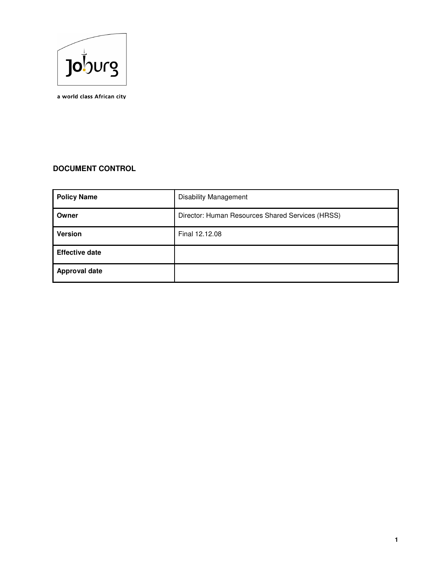

a world class African city

# **DOCUMENT CONTROL**

| <b>Policy Name</b>    | <b>Disability Management</b>                     |
|-----------------------|--------------------------------------------------|
| Owner                 | Director: Human Resources Shared Services (HRSS) |
| <b>Version</b>        | Final 12.12.08                                   |
| <b>Effective date</b> |                                                  |
| <b>Approval date</b>  |                                                  |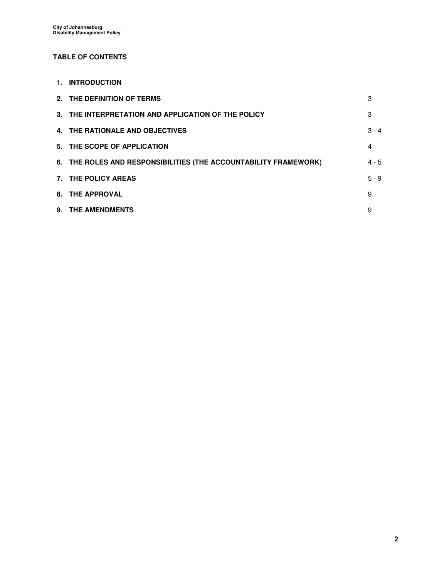# **TABLE OF CONTENTS**

**1. INTRODUCTION** 

| 2. THE DEFINITION OF TERMS                                       | 3       |
|------------------------------------------------------------------|---------|
| 3. THE INTERPRETATION AND APPLICATION OF THE POLICY              | 3       |
| 4. THE RATIONALE AND OBJECTIVES                                  | $3 - 4$ |
| 5. THE SCOPE OF APPLICATION                                      | 4       |
| 6. THE ROLES AND RESPONSIBILITIES (THE ACCOUNTABILITY FRAMEWORK) | $4 - 5$ |
| 7. THE POLICY AREAS                                              | $5 - 9$ |
| 8. THE APPROVAL                                                  | 9       |
| 9. THE AMENDMENTS                                                | 9       |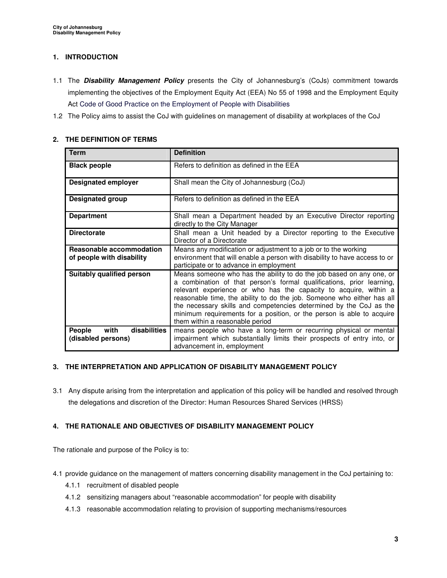# **1. INTRODUCTION**

- 1.1 The **Disability Management Policy** presents the City of Johannesburg's (CoJs) commitment towards implementing the objectives of the Employment Equity Act (EEA) No 55 of 1998 and the Employment Equity Act Code of Good Practice on the Employment of People with Disabilities
- 1.2 The Policy aims to assist the CoJ with guidelines on management of disability at workplaces of the CoJ

#### **Term Definition Black people** Refers to definition as defined in the EEA **Designated employer** Shall mean the City of Johannesburg (CoJ) **Designated group** Refers to definition as defined in the EEA **Department** Shall mean a Department headed by an Executive Director reporting directly to the City Manager **Directorate Shall mean a Unit headed by a Director reporting to the Executive** Director of a Directorate **Reasonable accommodation of people with disability** Means any modification or adjustment to a job or to the working environment that will enable a person with disability to have access to or participate or to advance in employment **Suitably qualified person** Means someone who has the ability to do the job based on any one, or a combination of that person's formal qualifications, prior learning, relevant experience or who has the capacity to acquire, within a reasonable time, the ability to do the job. Someone who either has all the necessary skills and competencies determined by the CoJ as the minimum requirements for a position, or the person is able to acquire them within a reasonable period **People with disabilities (disabled persons)**  means people who have a long-term or recurring physical or mental impairment which substantially limits their prospects of entry into, or advancement in, employment

# **2. THE DEFINITION OF TERMS**

# **3. THE INTERPRETATION AND APPLICATION OF DISABILITY MANAGEMENT POLICY**

3.1 Any dispute arising from the interpretation and application of this policy will be handled and resolved through the delegations and discretion of the Director: Human Resources Shared Services (HRSS)

# **4. THE RATIONALE AND OBJECTIVES OF DISABILITY MANAGEMENT POLICY**

The rationale and purpose of the Policy is to:

- 4.1 provide guidance on the management of matters concerning disability management in the CoJ pertaining to:
	- 4.1.1 recruitment of disabled people
	- 4.1.2 sensitizing managers about "reasonable accommodation" for people with disability
	- 4.1.3 reasonable accommodation relating to provision of supporting mechanisms/resources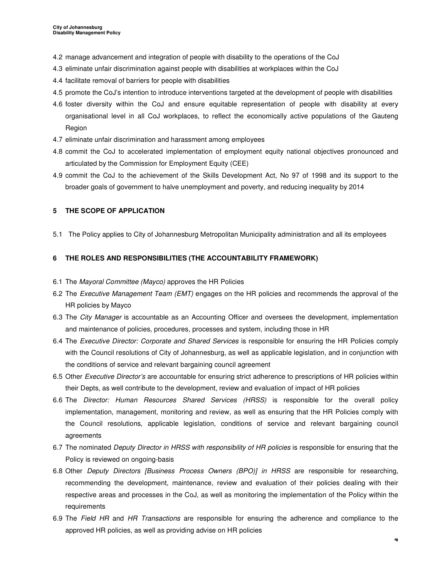- 4.2 manage advancement and integration of people with disability to the operations of the CoJ
- 4.3 eliminate unfair discrimination against people with disabilities at workplaces within the CoJ
- 4.4 facilitate removal of barriers for people with disabilities
- 4.5 promote the CoJ's intention to introduce interventions targeted at the development of people with disabilities
- 4.6 foster diversity within the CoJ and ensure equitable representation of people with disability at every organisational level in all CoJ workplaces, to reflect the economically active populations of the Gauteng Region
- 4.7 eliminate unfair discrimination and harassment among employees
- 4.8 commit the CoJ to accelerated implementation of employment equity national objectives pronounced and articulated by the Commission for Employment Equity (CEE)
- 4.9 commit the CoJ to the achievement of the Skills Development Act, No 97 of 1998 and its support to the broader goals of government to halve unemployment and poverty, and reducing inequality by 2014

### **5 THE SCOPE OF APPLICATION**

5.1 The Policy applies to City of Johannesburg Metropolitan Municipality administration and all its employees

### **6 THE ROLES AND RESPONSIBILITIES (THE ACCOUNTABILITY FRAMEWORK)**

- 6.1 The Mayoral Committee (Mayco) approves the HR Policies
- 6.2 The *Executive Management Team (EMT)* engages on the HR policies and recommends the approval of the HR policies by Mayco
- 6.3 The City Manager is accountable as an Accounting Officer and oversees the development, implementation and maintenance of policies, procedures, processes and system, including those in HR
- 6.4 The Executive Director: Corporate and Shared Services is responsible for ensuring the HR Policies comply with the Council resolutions of City of Johannesburg, as well as applicable legislation, and in conjunction with the conditions of service and relevant bargaining council agreement
- 6.5 Other Executive Director's are accountable for ensuring strict adherence to prescriptions of HR policies within their Depts, as well contribute to the development, review and evaluation of impact of HR policies
- 6.6 The Director: Human Resources Shared Services (HRSS) is responsible for the overall policy implementation, management, monitoring and review, as well as ensuring that the HR Policies comply with the Council resolutions, applicable legislation, conditions of service and relevant bargaining council agreements
- 6.7 The nominated Deputy Director in HRSS with responsibility of HR policies is responsible for ensuring that the Policy is reviewed on ongoing-basis
- 6.8 Other Deputy Directors [Business Process Owners (BPO)] in HRSS are responsible for researching, recommending the development, maintenance, review and evaluation of their policies dealing with their respective areas and processes in the CoJ, as well as monitoring the implementation of the Policy within the requirements
- 6.9 The Field HR and HR Transactions are responsible for ensuring the adherence and compliance to the approved HR policies, as well as providing advise on HR policies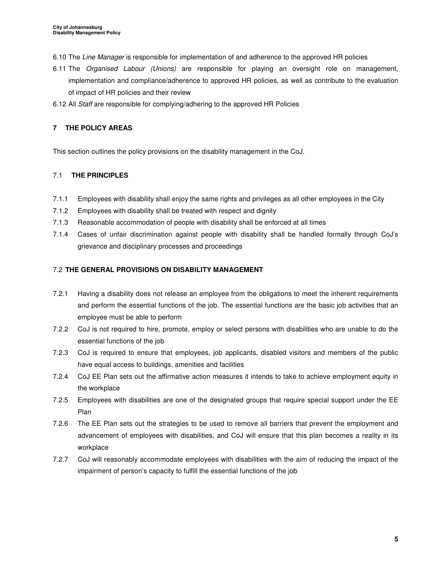- 6.10 The Line Manager is responsible for implementation of and adherence to the approved HR policies
- 6.11 The Organised Labour (Unions) are responsible for playing an oversight role on management, implementation and compliance/adherence to approved HR policies, as well as contribute to the evaluation of impact of HR policies and their review
- 6.12 All Staff are responsible for complying/adhering to the approved HR Policies

# **7 THE POLICY AREAS**

This section outlines the policy provisions on the disability management in the CoJ.

# 7.1 **THE PRINCIPLES**

- 7.1.1 Employees with disability shall enjoy the same rights and privileges as all other employees in the City
- 7.1.2 Employees with disability shall be treated with respect and dignity
- 7.1.3 Reasonable accommodation of people with disability shall be enforced at all times
- 7.1.4 Cases of unfair discrimination against people with disability shall be handled formally through CoJ's grievance and disciplinary processes and proceedings

# 7.2 **THE GENERAL PROVISIONS ON DISABILITY MANAGEMENT**

- 7.2.1 Having a disability does not release an employee from the obligations to meet the inherent requirements and perform the essential functions of the job. The essential functions are the basic job activities that an employee must be able to perform
- 7.2.2 CoJ is not required to hire, promote, employ or select persons with disabilities who are unable to do the essential functions of the job
- 7.2.3 CoJ is required to ensure that employees, job applicants, disabled visitors and members of the public have equal access to buildings, amenities and facilities
- 7.2.4 CoJ EE Plan sets out the affirmative action measures it intends to take to achieve employment equity in the workplace
- 7.2.5 Employees with disabilities are one of the designated groups that require special support under the EE Plan
- 7.2.6 The EE Plan sets out the strategies to be used to remove all barriers that prevent the employment and advancement of employees with disabilities, and CoJ will ensure that this plan becomes a reality in its workplace
- 7.2.7 CoJ will reasonably accommodate employees with disabilities with the aim of reducing the impact of the impairment of person's capacity to fulfill the essential functions of the job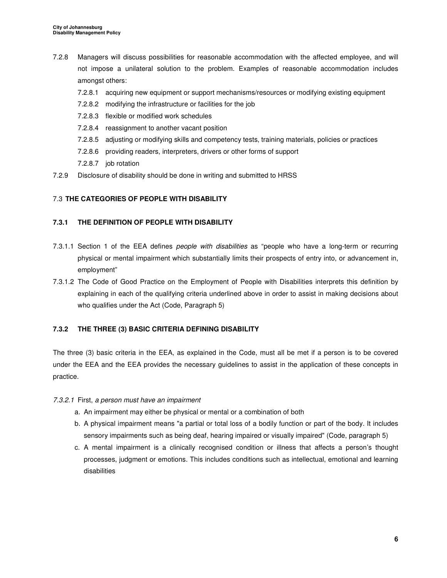- 7.2.8 Managers will discuss possibilities for reasonable accommodation with the affected employee, and will not impose a unilateral solution to the problem. Examples of reasonable accommodation includes amongst others:
	- 7.2.8.1 acquiring new equipment or support mechanisms/resources or modifying existing equipment
	- 7.2.8.2 modifying the infrastructure or facilities for the job
	- 7.2.8.3 flexible or modified work schedules
	- 7.2.8.4 reassignment to another vacant position
	- 7.2.8.5 adjusting or modifying skills and competency tests, training materials, policies or practices
	- 7.2.8.6 providing readers, interpreters, drivers or other forms of support
	- 7.2.8.7 job rotation
- 7.2.9 Disclosure of disability should be done in writing and submitted to HRSS

# 7.3 **THE CATEGORIES OF PEOPLE WITH DISABILITY**

## **7.3.1 THE DEFINITION OF PEOPLE WITH DISABILITY**

- 7.3.1.1 Section 1 of the EEA defines people with disabilities as "people who have a long-term or recurring physical or mental impairment which substantially limits their prospects of entry into, or advancement in, employment"
- 7.3.1.2 The Code of Good Practice on the Employment of People with Disabilities interprets this definition by explaining in each of the qualifying criteria underlined above in order to assist in making decisions about who qualifies under the Act (Code, Paragraph 5)

# **7.3.2 THE THREE (3) BASIC CRITERIA DEFINING DISABILITY**

The three (3) basic criteria in the EEA, as explained in the Code, must all be met if a person is to be covered under the EEA and the EEA provides the necessary guidelines to assist in the application of these concepts in practice.

### 7.3.2.1 First, a person must have an impairment

- a. An impairment may either be physical or mental or a combination of both
- b. A physical impairment means "a partial or total loss of a bodily function or part of the body. It includes sensory impairments such as being deaf, hearing impaired or visually impaired" (Code, paragraph 5)
- c. A mental impairment is a clinically recognised condition or illness that affects a person's thought processes, judgment or emotions. This includes conditions such as intellectual, emotional and learning disabilities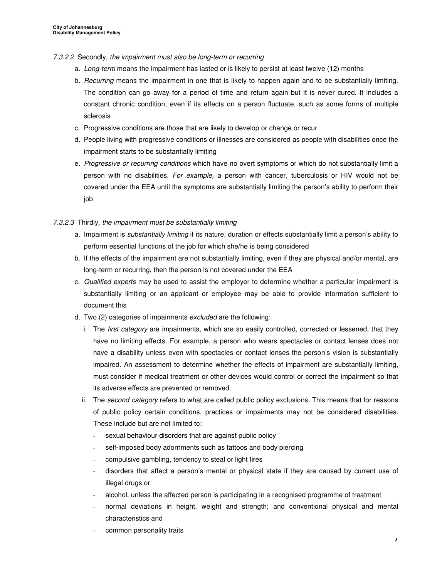### 7.3.2.2 Secondly, the impairment must also be long-term or recurring

- a. Long-term means the impairment has lasted or is likely to persist at least twelve (12) months
- b. Recurring means the impairment in one that is likely to happen again and to be substantially limiting. The condition can go away for a period of time and return again but it is never cured. It includes a constant chronic condition, even if its effects on a person fluctuate, such as some forms of multiple sclerosis
- c. Progressive conditions are those that are likely to develop or change or recur
- d. People living with progressive conditions or illnesses are considered as people with disabilities once the impairment starts to be substantially limiting
- e. Progressive or recurring conditions which have no overt symptoms or which do not substantially limit a person with no disabilities. For example, a person with cancer, tuberculosis or HIV would not be covered under the EEA until the symptoms are substantially limiting the person's ability to perform their job

## 7.3.2.3 Thirdly, the impairment must be substantially limiting

- a. Impairment is *substantially limiting* if its nature, duration or effects substantially limit a person's ability to perform essential functions of the job for which she/he is being considered
- b. If the effects of the impairment are not substantially limiting, even if they are physical and/or mental, are long-term or recurring, then the person is not covered under the EEA
- c. Qualified experts may be used to assist the employer to determine whether a particular impairment is substantially limiting or an applicant or employee may be able to provide information sufficient to document this
- d. Two (2) categories of impairments excluded are the following:
	- i. The first category are impairments, which are so easily controlled, corrected or lessened, that they have no limiting effects. For example, a person who wears spectacles or contact lenses does not have a disability unless even with spectacles or contact lenses the person's vision is substantially impaired. An assessment to determine whether the effects of impairment are substantially limiting, must consider if medical treatment or other devices would control or correct the impairment so that its adverse effects are prevented or removed.
	- ii. The second category refers to what are called public policy exclusions. This means that for reasons of public policy certain conditions, practices or impairments may not be considered disabilities. These include but are not limited to:
		- sexual behaviour disorders that are against public policy
		- self-imposed body adornments such as tattoos and body piercing
		- compulsive gambling, tendency to steal or light fires
		- disorders that affect a person's mental or physical state if they are caused by current use of illegal drugs or
		- alcohol, unless the affected person is participating in a recognised programme of treatment
		- normal deviations in height, weight and strength; and conventional physical and mental characteristics and
		- common personality traits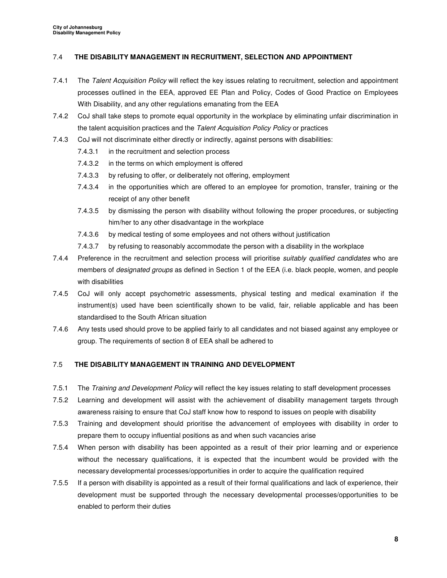## 7.4 **THE DISABILITY MANAGEMENT IN RECRUITMENT, SELECTION AND APPOINTMENT**

- 7.4.1 The Talent Acquisition Policy will reflect the key issues relating to recruitment, selection and appointment processes outlined in the EEA, approved EE Plan and Policy, Codes of Good Practice on Employees With Disability, and any other regulations emanating from the EEA
- 7.4.2 CoJ shall take steps to promote equal opportunity in the workplace by eliminating unfair discrimination in the talent acquisition practices and the Talent Acquisition Policy Policy or practices
- 7.4.3 CoJ will not discriminate either directly or indirectly, against persons with disabilities:
	- 7.4.3.1 in the recruitment and selection process
	- 7.4.3.2 in the terms on which employment is offered
	- 7.4.3.3 by refusing to offer, or deliberately not offering, employment
	- 7.4.3.4 in the opportunities which are offered to an employee for promotion, transfer, training or the receipt of any other benefit
	- 7.4.3.5 by dismissing the person with disability without following the proper procedures, or subjecting him/her to any other disadvantage in the workplace
	- 7.4.3.6 by medical testing of some employees and not others without justification
	- 7.4.3.7 by refusing to reasonably accommodate the person with a disability in the workplace
- 7.4.4 Preference in the recruitment and selection process will prioritise *suitably qualified candidates* who are members of *designated groups* as defined in Section 1 of the EEA (i.e. black people, women, and people with disabilities
- 7.4.5 CoJ will only accept psychometric assessments, physical testing and medical examination if the instrument(s) used have been scientifically shown to be valid, fair, reliable applicable and has been standardised to the South African situation
- 7.4.6 Any tests used should prove to be applied fairly to all candidates and not biased against any employee or group. The requirements of section 8 of EEA shall be adhered to

# 7.5 **THE DISABILITY MANAGEMENT IN TRAINING AND DEVELOPMENT**

- 7.5.1 The Training and Development Policy will reflect the key issues relating to staff development processes
- 7.5.2 Learning and development will assist with the achievement of disability management targets through awareness raising to ensure that CoJ staff know how to respond to issues on people with disability
- 7.5.3 Training and development should prioritise the advancement of employees with disability in order to prepare them to occupy influential positions as and when such vacancies arise
- 7.5.4 When person with disability has been appointed as a result of their prior learning and or experience without the necessary qualifications, it is expected that the incumbent would be provided with the necessary developmental processes/opportunities in order to acquire the qualification required
- 7.5.5 If a person with disability is appointed as a result of their formal qualifications and lack of experience, their development must be supported through the necessary developmental processes/opportunities to be enabled to perform their duties